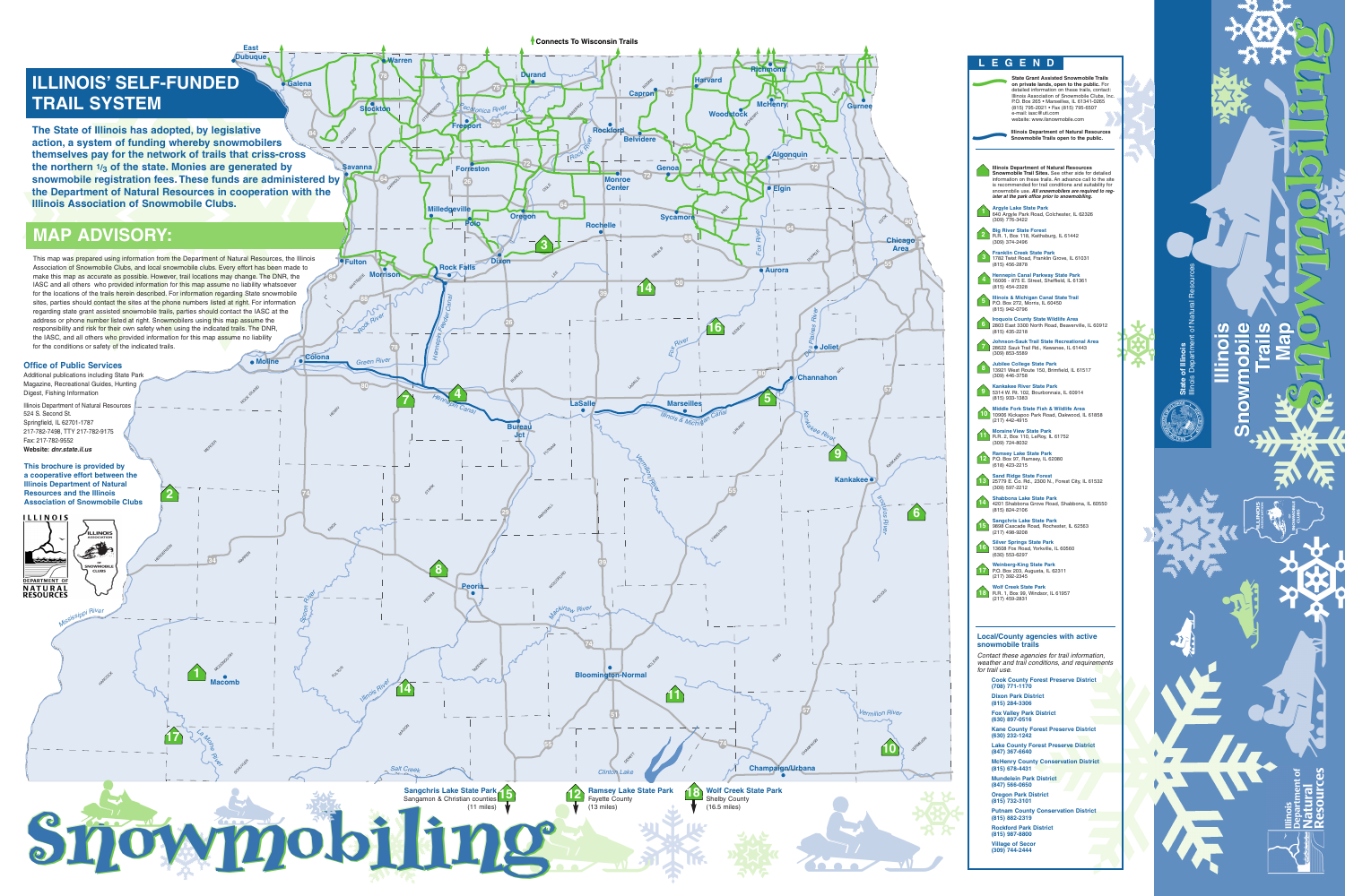

The State of Illinois has adopted, by legislative action, a system of funding whereby snowmobilers themselves pay for the network of trails that criss-cross **the northern 1/3 of the state. Monies are generated by** snowmobile registration fees. These funds are administered by the Department of Natural Resources in cooperation with the **Illinois Association of Snowmobile Clubs. 84**

## **MAP ADVISORY:**

**Ramsey Lake State Park** Fayette County (13 miles) **2**

This map was prepared using information from the Department of Natural Resources, the Illinois Association of Snow mobile Clubs, and local snow mobile clubs. Every effort has been made to make this map as accurate as possible. However, trail locations may change. The D N R, the IA S C and all others who provided information for this map assume no liability whatsoever for the locations of the trails herein described. For information regarding State snowmobile sites, parties should contact the sites at the phone numbers listed at right. For information regarding state grant assisted snowmobile trails, parties should contact the IASC at the address or phone number listed at right. Snow mobilers using this map assume the responsibility and risk for their own safety when using the indicated trails. The D N R, the IASC, and all others who provided information for this map assume no liability for the conditions or safety of the indicated trails.

HENDERSON



iling

**1**

**8**

**14**

**16**



**7 4** **80**

**88**

**39**

**7 4**

*Illinoi<sup>s</sup> <sup>R</sup>ive<sup>r</sup>*

**MASON** 

**39**

*La Moine*

*River*

SCHUTTER

**Macomb** 

McDonough

**MERICER** 

*<sup>H</sup>ennepi<sup>n</sup>*

*<sup>C</sup>ana<sup>l</sup>*

*Mackina<sup>w</sup>*

woodkokp

*Rive<sup>r</sup>*

*M<sup>i</sup>ssissipp<sup>i</sup> <sup>R</sup>ive<sup>r</sup>*

**HANCOCK** 



S<br>S

**M olin e**

ROCK ISLAND

WARREN

S<sub>POOM</sub> R<sup>I</sup>I<br>SPOOM

**P e oria**

I.

TAZEWELL

**L a S alle**

**R o c kford**

WINNEBAGO

**R** 

OGLE

LEE

PUTHAM

MARSHALL

# **ILLINOIS' SELF-FUNDED**  $\mathbf{TRAIL}$  SYSTEM



*Clinto n La ke*

**78**

**78**

**78**

**26**

**26**

**26**

**75**

**84**

JO DAVIESS

**20**

**20**

**29**

**34**

**Fre e p ort**

> **Dix o n**

> > **Blo o min gto n-N orm al**

**DEWITT** 

*Hennepin Feeder Canal*

STARK

PEORIA

*<sup>P</sup>ecatonic<sup>a</sup>*

*Rive<sup>r</sup>*

*Roc<sup>k</sup> <sup>R</sup>ive<sup>r</sup>*

*Green*

**HELMAY** 

*River*

**E a st**

**D u b u q u e**

### **Office of Public Services**

**G ale n a**

**W arre n**

**Sto kto c**

**n**

**D ura n d**

**S a v a n n a**

> **Mille d g e ville**

> > **P olo**

**Ore g o n**

**M orris o n**

**WHITESIDE** 

**F ulto n**

**R o c k F alls**

**Forreston** 

CARROLL

**C olo n a**

**KNO**X

FULTON

ob.

**B ure a u**

> **J ct**

**R o c h elle**

**M o nro e C e nter**

**B elvid**

LASALLE

**64**

**64**

**1 4** **8**

STEPHENSON

**7**

**1**

**2**

**1**

**4**

BURKAU

**3**

**1**

**1 7**

Additional publications including State Park Magazine, Recreational Guides, Hunting Digest, Fishing Information

Illinois Department of Natural Resources 524 S. Second St. Springfield, IL 62701-1787 217-782-7498, T T Y 217-782-9175 Fax: 217-782-9552 **Website:** *dnr.state.il.us*

**his** brochure is provided by **a cooperative effort between the Illin ois D e p artm e nt of N atural Resources and the Illinois Association of Snowmobile Clubs**  **Map Map**

nowm